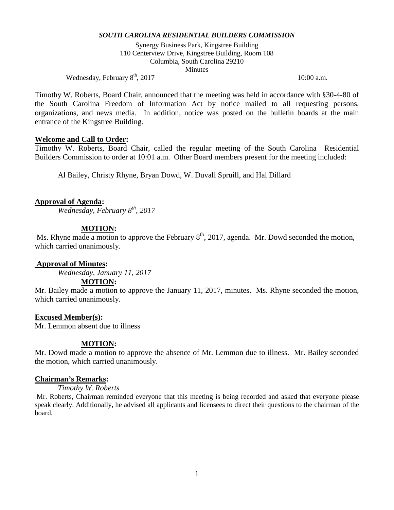Synergy Business Park, Kingstree Building 110 Centerview Drive, Kingstree Building, Room 108 Columbia, South Carolina 29210 **Minutes** 

Wednesday, February  $8^{\text{th}}$ , 2017 10:00 a.m.

Timothy W. Roberts, Board Chair, announced that the meeting was held in accordance with §30-4-80 of the South Carolina Freedom of Information Act by notice mailed to all requesting persons, organizations, and news media. In addition, notice was posted on the bulletin boards at the main entrance of the Kingstree Building.

## **Welcome and Call to Order:**

Timothy W. Roberts, Board Chair, called the regular meeting of the South Carolina Residential Builders Commission to order at 10:01 a.m. Other Board members present for the meeting included:

Al Bailey, Christy Rhyne, Bryan Dowd, W. Duvall Spruill, and Hal Dillard

## **Approval of Agenda:**

*Wednesday, February 8th, 2017*

## **MOTION:**

Ms. Rhyne made a motion to approve the February  $8<sup>th</sup>$ , 2017, agenda. Mr. Dowd seconded the motion, which carried unanimously.

## **Approval of Minutes:**

*Wednesday, January 11, 2017*

## **MOTION:**

Mr. Bailey made a motion to approve the January 11, 2017, minutes. Ms. Rhyne seconded the motion, which carried unanimously.

## **Excused Member(s):**

Mr. Lemmon absent due to illness

## **MOTION:**

Mr. Dowd made a motion to approve the absence of Mr. Lemmon due to illness. Mr. Bailey seconded the motion, which carried unanimously.

## **Chairman's Remarks:**

*Timothy W. Roberts* 

Mr. Roberts, Chairman reminded everyone that this meeting is being recorded and asked that everyone please speak clearly. Additionally, he advised all applicants and licensees to direct their questions to the chairman of the board.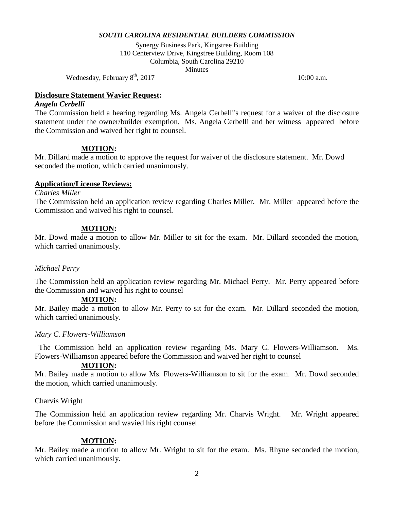Synergy Business Park, Kingstree Building 110 Centerview Drive, Kingstree Building, Room 108 Columbia, South Carolina 29210 Minutes

Wednesday, February  $8<sup>th</sup>$ , 2017 10:00 a.m.

## **Disclosure Statement Wavier Request:**

## *Angela Cerbelli*

The Commission held a hearing regarding Ms. Angela Cerbelli's request for a waiver of the disclosure statement under the owner/builder exemption. Ms. Angela Cerbelli and her witness appeared before the Commission and waived her right to counsel.

# **MOTION:**

Mr. Dillard made a motion to approve the request for waiver of the disclosure statement. Mr. Dowd seconded the motion, which carried unanimously.

# **Application/License Reviews:**

# *Charles Miller*

The Commission held an application review regarding Charles Miller. Mr. Miller appeared before the Commission and waived his right to counsel.

## **MOTION:**

Mr. Dowd made a motion to allow Mr. Miller to sit for the exam. Mr. Dillard seconded the motion, which carried unanimously.

## *Michael Perry*

The Commission held an application review regarding Mr. Michael Perry. Mr. Perry appeared before the Commission and waived his right to counsel

## **MOTION:**

Mr. Bailey made a motion to allow Mr. Perry to sit for the exam. Mr. Dillard seconded the motion, which carried unanimously.

## *Mary C. Flowers-Williamson*

The Commission held an application review regarding Ms. Mary C. Flowers-Williamson. Ms. Flowers-Williamson appeared before the Commission and waived her right to counsel

## **MOTION:**

Mr. Bailey made a motion to allow Ms. Flowers-Williamson to sit for the exam. Mr. Dowd seconded the motion, which carried unanimously.

## Charvis Wright

The Commission held an application review regarding Mr. Charvis Wright. Mr. Wright appeared before the Commission and wavied his right counsel.

## **MOTION:**

Mr. Bailey made a motion to allow Mr. Wright to sit for the exam. Ms. Rhyne seconded the motion, which carried unanimously.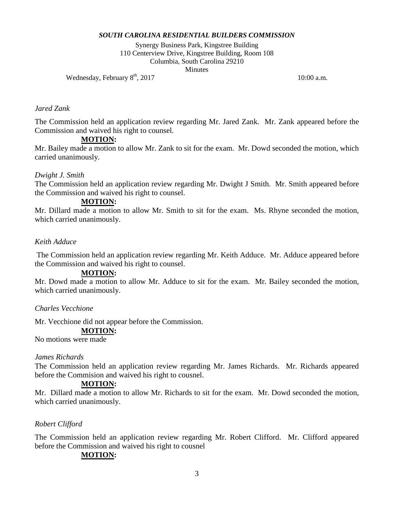Synergy Business Park, Kingstree Building 110 Centerview Drive, Kingstree Building, Room 108 Columbia, South Carolina 29210 **Minutes** 

Wednesday, February  $8<sup>th</sup>$ , 2017 10:00 a.m.

#### *Jared Zank*

The Commission held an application review regarding Mr. Jared Zank. Mr. Zank appeared before the Commission and waived his right to counsel.

# **MOTION:**

Mr. Bailey made a motion to allow Mr. Zank to sit for the exam. Mr. Dowd seconded the motion, which carried unanimously.

## *Dwight J. Smith*

The Commission held an application review regarding Mr. Dwight J Smith. Mr. Smith appeared before the Commission and waived his right to counsel.

# **MOTION:**

Mr. Dillard made a motion to allow Mr. Smith to sit for the exam. Ms. Rhyne seconded the motion, which carried unanimously.

# *Keith Adduce*

The Commission held an application review regarding Mr. Keith Adduce. Mr. Adduce appeared before the Commission and waived his right to counsel.

## **MOTION:**

Mr. Dowd made a motion to allow Mr. Adduce to sit for the exam. Mr. Bailey seconded the motion, which carried unanimously.

## *Charles Vecchione*

Mr. Vecchione did not appear before the Commission.

#### **MOTION:**

No motions were made

## *James Richards*

The Commission held an application review regarding Mr. James Richards. Mr. Richards appeared before the Commision and waived his right to cousnel.

## **MOTION:**

Mr. Dillard made a motion to allow Mr. Richards to sit for the exam. Mr. Dowd seconded the motion, which carried unanimously.

## *Robert Clifford*

The Commission held an application review regarding Mr. Robert Clifford. Mr. Clifford appeared before the Commission and waived his right to cousnel

## **MOTION:**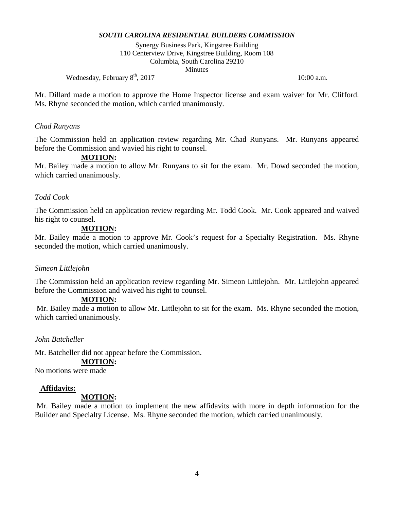Synergy Business Park, Kingstree Building 110 Centerview Drive, Kingstree Building, Room 108 Columbia, South Carolina 29210 **Minutes** 

Wednesday, February  $8<sup>th</sup>$ , 2017 10:00 a.m.

Mr. Dillard made a motion to approve the Home Inspector license and exam waiver for Mr. Clifford. Ms. Rhyne seconded the motion, which carried unanimously.

#### *Chad Runyans*

The Commission held an application review regarding Mr. Chad Runyans. Mr. Runyans appeared before the Commission and wavied his right to counsel.

#### **MOTION:**

Mr. Bailey made a motion to allow Mr. Runyans to sit for the exam. Mr. Dowd seconded the motion, which carried unanimously.

#### *Todd Cook*

The Commission held an application review regarding Mr. Todd Cook. Mr. Cook appeared and waived his right to counsel.

#### **MOTION:**

Mr. Bailey made a motion to approve Mr. Cook's request for a Specialty Registration. Ms. Rhyne seconded the motion, which carried unanimously.

#### *Simeon Littlejohn*

The Commission held an application review regarding Mr. Simeon Littlejohn. Mr. Littlejohn appeared before the Commission and waived his right to counsel.

## **MOTION:**

Mr. Bailey made a motion to allow Mr. Littlejohn to sit for the exam. Ms. Rhyne seconded the motion, which carried unanimously.

*John Batcheller*

Mr. Batcheller did not appear before the Commission.

# **MOTION:**

No motions were made

#### **Affidavits:**

#### **MOTION:**

Mr. Bailey made a motion to implement the new affidavits with more in depth information for the Builder and Specialty License. Ms. Rhyne seconded the motion, which carried unanimously.